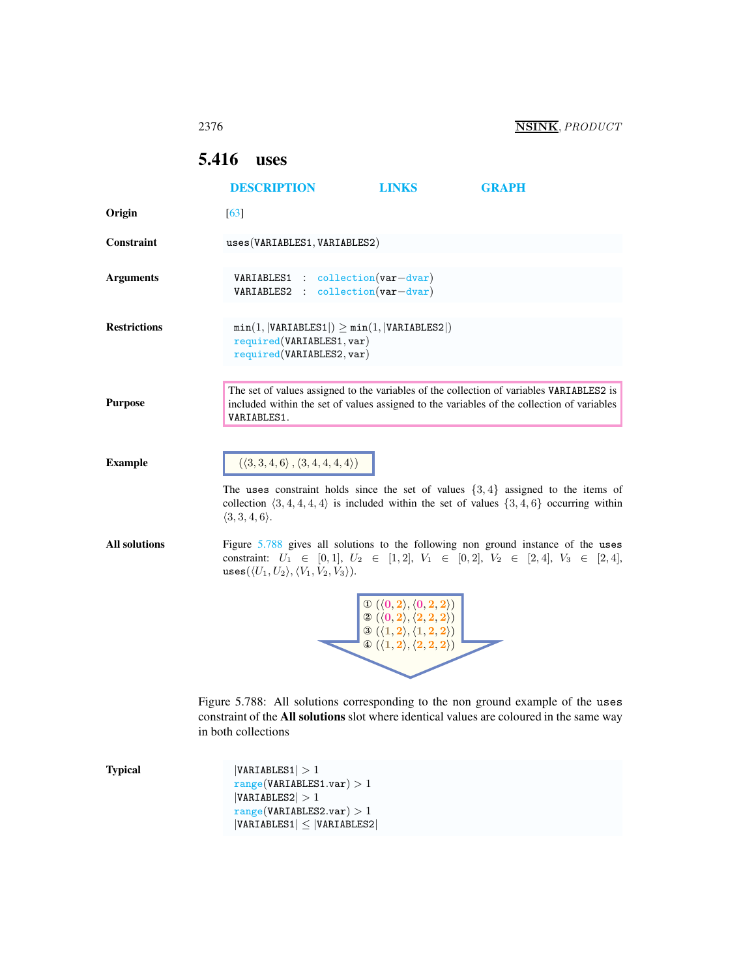# <span id="page-0-0"></span>5.416 uses

|                      | <b>DESCRIPTION</b>                                                                                                                                                                                                                                                                | <b>LINKS</b>                                                                                                                                                                                                                                           | <b>GRAPH</b> |
|----------------------|-----------------------------------------------------------------------------------------------------------------------------------------------------------------------------------------------------------------------------------------------------------------------------------|--------------------------------------------------------------------------------------------------------------------------------------------------------------------------------------------------------------------------------------------------------|--------------|
| Origin               | [63]                                                                                                                                                                                                                                                                              |                                                                                                                                                                                                                                                        |              |
| Constraint           | uses(VARIABLES1, VARIABLES2)                                                                                                                                                                                                                                                      |                                                                                                                                                                                                                                                        |              |
| <b>Arguments</b>     | $VARIABLES1 : collection(var-dvar)$<br>VARIABLES2 : collection(var-dvar)                                                                                                                                                                                                          |                                                                                                                                                                                                                                                        |              |
| <b>Restrictions</b>  | $min(1,  VARIABLES1 ) \ge min(1,  VARIABLES2 )$<br>required(VARIABLES1, var)<br>required(VARIABLES2, var)                                                                                                                                                                         |                                                                                                                                                                                                                                                        |              |
| <b>Purpose</b>       | The set of values assigned to the variables of the collection of variables VARIABLES2 is<br>included within the set of values assigned to the variables of the collection of variables<br>VARIABLES1.                                                                             |                                                                                                                                                                                                                                                        |              |
| <b>Example</b>       | $(\langle 3,3,4,6 \rangle, \langle 3,4,4,4,4 \rangle)$<br>The uses constraint holds since the set of values $\{3, 4\}$ assigned to the items of<br>collection $\langle 3, 4, 4, 4, 4 \rangle$ is included within the set of values $\{3, 4, 6\}$ occurring within                 |                                                                                                                                                                                                                                                        |              |
| <b>All solutions</b> | $\langle 3,3,4,6 \rangle$ .<br>Figure 5.788 gives all solutions to the following non ground instance of the uses<br>constraint: $U_1 \in [0,1], U_2 \in [1,2], V_1 \in [0,2], V_2 \in [2,4], V_3 \in [2,4],$<br>uses $(\langle U_1, U_2 \rangle, \langle V_1, V_2, V_3 \rangle).$ |                                                                                                                                                                                                                                                        |              |
|                      |                                                                                                                                                                                                                                                                                   | $\mathbb{O} \; ( \langle 0,2 \rangle, \langle 0,2,2 \rangle )$<br>$\textcircled{2} (\langle 0,2 \rangle, \langle 2,2,2 \rangle)$<br>$\mathcal{O}(\langle 1,2\rangle,\langle 1,2,2\rangle)$<br>$\circledast (\langle 1,2\rangle, \langle 2,2,2\rangle)$ |              |
|                      | Figure 5.788: All solutions corresponding to the non ground example of the uses<br>constraint of the All solutions slot where identical values are coloured in the same way<br>in both collections                                                                                |                                                                                                                                                                                                                                                        |              |
| <b>Typical</b>       | VARIABLES1  > 1<br>range(VARIABLES1.var) > 1<br> VARIABLES2  > 1<br>range(VARIABLES2.var) > 1                                                                                                                                                                                     |                                                                                                                                                                                                                                                        |              |

<span id="page-0-1"></span> $|VARIABLES1| \leq |VARIABLES2|$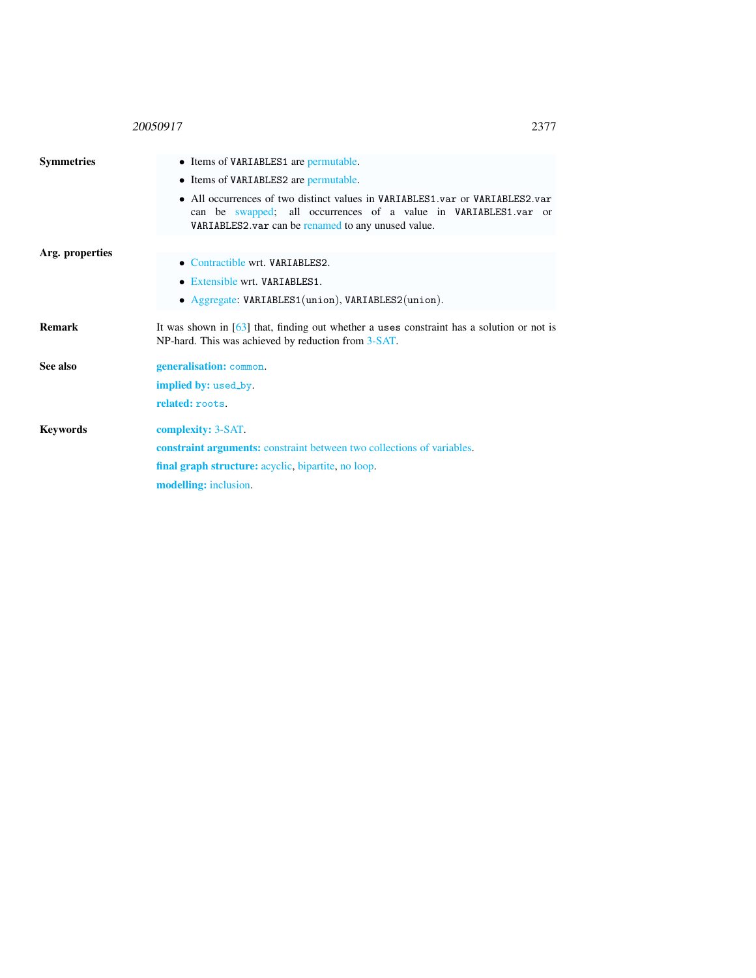## 20050917 2377

<span id="page-1-0"></span>

| <b>Symmetries</b> | • Items of VARIABLES1 are permutable.<br>• Items of VARIABLES2 are permutable.<br>• All occurrences of two distinct values in VARIABLES1.var or VARIABLES2.var<br>can be swapped; all occurrences of a value in VARIABLES1.var or<br>VARIABLES2. var can be renamed to any unused value. |  |  |  |
|-------------------|------------------------------------------------------------------------------------------------------------------------------------------------------------------------------------------------------------------------------------------------------------------------------------------|--|--|--|
| Arg. properties   | • Contractible wrt. VARIABLES2.<br>• Extensible wrt. VARIABLES1.<br>• Aggregate: VARIABLES1(union), VARIABLES2(union).                                                                                                                                                                   |  |  |  |
| <b>Remark</b>     | It was shown in $[63]$ that, finding out whether a uses constraint has a solution or not is<br>NP-hard. This was achieved by reduction from 3-SAT.                                                                                                                                       |  |  |  |
| See also          | generalisation: common.<br><b>implied by:</b> used_by.<br>related: roots.                                                                                                                                                                                                                |  |  |  |
| <b>Keywords</b>   | complexity: 3-SAT.<br><b>constraint arguments:</b> constraint between two collections of variables.<br>final graph structure: acyclic, bipartite, no loop.<br>modelling: inclusion.                                                                                                      |  |  |  |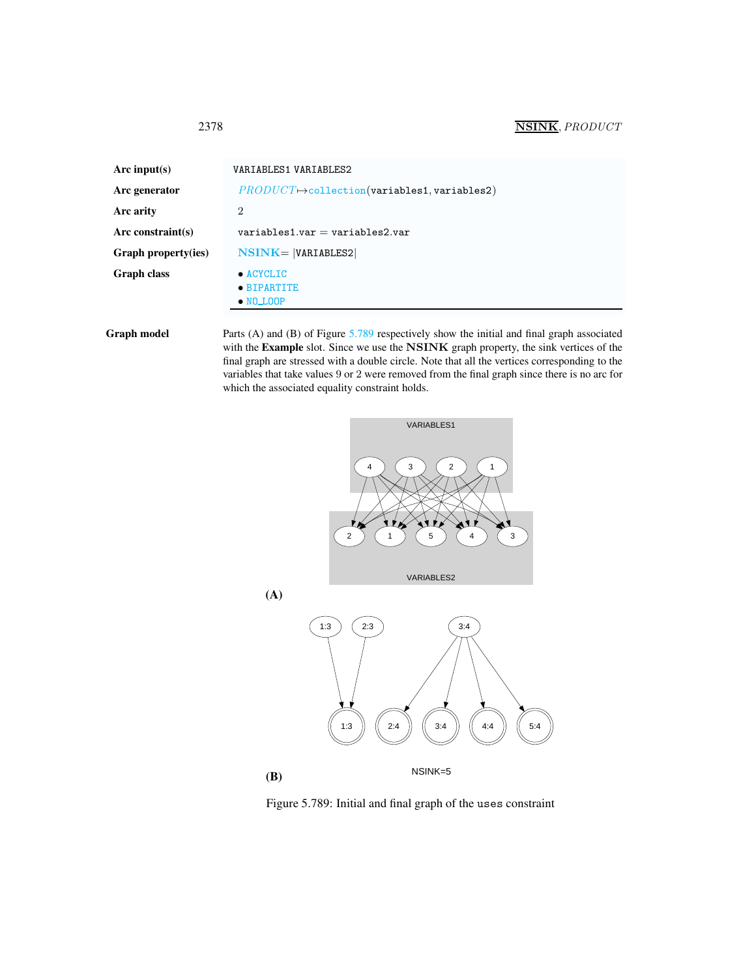## <span id="page-2-0"></span>2378 NSINK, PRODUCT

| Arc input(s)        | VARIABLES1 VARIABLES2                                    |  |  |
|---------------------|----------------------------------------------------------|--|--|
| Arc generator       | $PRODUCT \rightarrow collection(variables1, variables2)$ |  |  |
| Arc arity           | 2                                                        |  |  |
| Arc constraint(s)   | $variable$ s1.var = variables2.var                       |  |  |
| Graph property(ies) | $NSINK =  VARIABLES2 $                                   |  |  |
| Graph class         | $\bullet$ ACYCLIC<br>• BIPARTITE<br>$\bullet$ NO LOOP    |  |  |

Graph model Parts (A) and (B) of Figure [5.789](#page-2-1) respectively show the initial and final graph associated with the Example slot. Since we use the NSINK graph property, the sink vertices of the final graph are stressed with a double circle. Note that all the vertices corresponding to the variables that take values 9 or 2 were removed from the final graph since there is no arc for which the associated equality constraint holds.





<span id="page-2-1"></span>Figure 5.789: Initial and final graph of the uses constraint